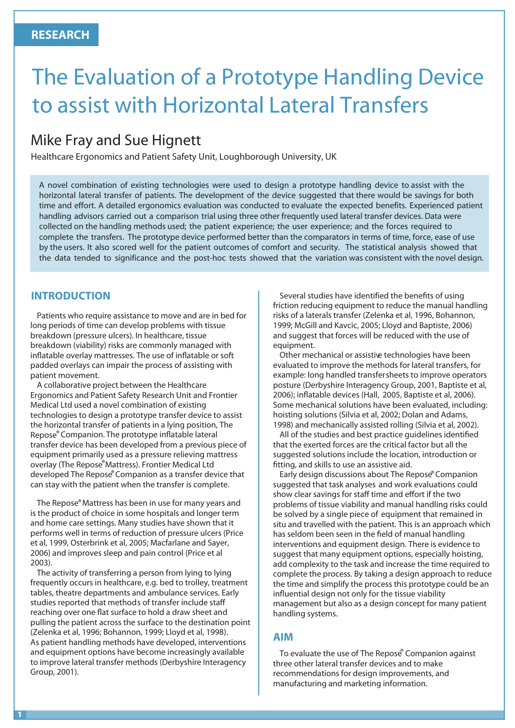# The Evaluation of a Prototype Handling Device to assist with Horizontal Lateral Transfers

# Mike Fray and Sue Hignett

Healthcare Ergonomics and Patient Safety Unit, Loughborough University, UK

A novel combination of existing technologies were used to design a prototype handling device to assist with the horizontal lateral transfer of patients. The development of the device suggested that there would be savings for both time and effort. A detailed ergonomics evaluation was conducted to evaluate the expected benefits. Experienced patient handling advisors carried out a comparison trial using three other frequently used lateral transfer devices. Data were collected on the handling methods used; the patient experience; the user experience; and the forces required to complete the transfers. The prototype device performed better than the comparators in terms of time, force, ease of use by the users. It also scored well for the patient outcomes of comfort and security. The statistical analysis showed that the data tended to significance and the post-hoc tests showed that the variation was consistent with the novel design.

#### **INTRODUCTION**

Patients who require assistance to move and are in bed for long periods of time can develop problems with tissue breakdown (pressure ulcers). In healthcare, tissue breakdown (viability) risks are commonly managed with inflatable overlay mattresses. The use of inflatable or soft padded overlays can impair the process of assisting with patient movement.

A collaborative project between the Healthcare Ergonomics and Patient Safety Research Unit and Frontier Medical Ltd used a novel combination of existing technologies to design a prototype transfer device to assist the horizontal transfer of patients in a lying position, The Repose® Companion. The prototype inflatable lateral transfer device has been developed from a previous piece of equipment primarily used as a pressure relieving mattress overlay (The Repose® Mattress). Frontier Medical Ltd developed The Repose® Companion as a transfer device that can stay with the patient when the transfer is complete.

The Repose® Mattress has been in use for many years and is the product of choice in some hospitals and longer term and home care settings. Many studies have shown that it performs well in terms of reduction of pressure ulcers (Price et al, 1999, Osterbrink et al, 2005; Macfarlane and Sayer, 2006) and improves sleep and pain control (Price et al 2003).

The activity of transferring a person from lying to lying frequently occurs in healthcare, e.g. bed to trolley, treatment tables, theatre departments and ambulance services. Early studies reported that methods of transfer include sta reaching over one flat surface to hold a draw sheet and pulling the patient across the surface to the destination point (Zelenka et al, 1996; Bohannon, 1999; Lloyd et al, 1998). As patient handling methods have developed, interventions and equipment options have become increasingly available to improve lateral transfer methods (Derbyshire Interagency Group, 2001).

Several studies have identified the benefits of using friction reducing equipment to reduce the manual handling risks of a laterals transfer (Zelenka et al, 1996, Bohannon, 1999; McGill and Kavcic, 2005; Lloyd and Baptiste, 2006) and suggest that forces will be reduced with the use of equipment.

Other mechanical or assistive technologies have been evaluated to improve the methods for lateral transfers, for example: long handled transfer sheets to improve operators posture (Derbyshire Interagency Group, 2001, Baptiste et al, 2006); inflatable devices (Hall, 2005, Baptiste et al, 2006). Some mechanical solutions have been evaluated, including: hoisting solutions (Silvia et al, 2002; Dolan and Adams, 1998) and mechanically assisted rolling (Silvia et al, 2002).

All of the studies and best practice quidelines identified that the exerted forces are the critical factor but all the suggested solutions include the location, introduction or fitting, and skills to use an assistive aid.

Early design discussions about The Repose® Companion suggested that task analyses and work evaluations could show clear savings for staff time and effort if the two problems of tissue viability and manual handling risks could be solved by a single piece of equipment that remained in situ and travelled with the patient. This is an approach which has seldom been seen in the field of manual handling interventions and equipment design. There is evidence to suggest that many equipment options, especially hoisting, add complexity to the task and increase the time required to complete the process. By taking a design approach to reduce the time and simplify the process this prototype could be an influential design not only for the tissue viability management but also as a design concept for many patient handling systems.

#### **AIM**

To evaluate the use of The Repose<sup>®</sup> Companion against three other lateral transfer devices and to make recommendations for design improvements, and manufacturing and marketing information.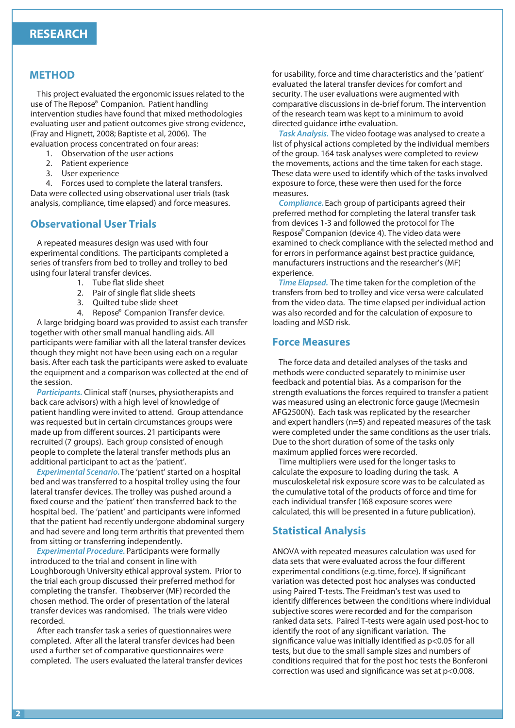#### **METHOD**

This project evaluated the ergonomic issues related to the use of The Repose® Companion. Patient handling intervention studies have found that mixed methodologies evaluating user and patient outcomes give strong evidence, (Fray and Hignett, 2008; Baptiste et al, 2006). The evaluation process concentrated on four areas:

- 1. Observation of the user actions
- 2. Patient experience
- 3. User experience
- 4. Forces used to complete the lateral transfers.

Data were collected using observational user trials (task analysis, compliance, time elapsed) and force measures.

#### **Observational User Trials**

A repeated measures design was used with four experimental conditions. The participants completed a series of transfers from bed to trolley and trolley to bed using four lateral transfer devices.

- 1. Tube flat slide sheet
- 2. Pair of single flat slide sheets
- 3. Quilted tube slide sheet
- 4. Repose® Companion Transfer device.

A large bridging board was provided to assist each transfer together with other small manual handling aids. All participants were familiar with all the lateral transfer devices though they might not have been using each on a regular basis. After each task the participants were asked to evaluate the equipment and a comparison was collected at the end of the session.

Participants. Clinical staff (nurses, physiotherapists and back care advisors) with a high level of knowledge of patient handling were invited to attend. Group attendance was requested but in certain circumstances groups were made up from different sources. 21 participants were recruited (7 groups). Each group consisted of enough people to complete the lateral transfer methods plus an additional participant to act as the 'patient'.

*Experimental Scenario.* The 'patient' started on a hospital bed and was transferred to a hospital trolley using the four lateral transfer devices. The trolley was pushed around a xed course and the 'patient' then transferred back to the hospital bed. The 'patient' and participants were informed that the patient had recently undergone abdominal surgery and had severe and long term arthritis that prevented them from sitting or transferring independently.

*Experimental Procedure.* Participants were formally introduced to the trial and consent in line with Loughborough University ethical approval system. Prior to the trial each group discussed their preferred method for completing the transfer. The observer (MF) recorded the chosen method. The order of presentation of the lateral transfer devices was randomised. The trials were video recorded.

After each transfer task a series of questionnaires were completed. After all the lateral transfer devices had been used a further set of comparative questionnaires were completed. The users evaluated the lateral transfer devices for usability, force and time characteristics and the 'patient' evaluated the lateral transfer devices for comfort and security. The user evaluations were augmented with comparative discussions in de-brief forum. The intervention of the research team was kept to a minimum to avoid directed quidance in the evaluation.

*Task Analysis.* The video footage was analysed to create a list of physical actions completed by the individual members of the group. 164 task analyses were completed to review the movements, actions and the time taken for each stage. These data were used to identify which of the tasks involved exposure to force, these were then used for the force measures.

*Compliance.* Each group of participants agreed their preferred method for completing the lateral transfer task from devices 1-3 and followed the protocol for The Respose®Companion (device 4). The video data were examined to check compliance with the selected method and for errors in performance against best practice guidance, manufacturers instructions and the researcher's (MF) experience.

*Time Elapsed.* The time taken for the completion of the transfers from bed to trolley and vice versa were calculated from the video data. The time elapsed per individual action was also recorded and for the calculation of exposure to loading and MSD risk.

#### **Force Measures**

The force data and detailed analyses of the tasks and methods were conducted separately to minimise user feedback and potential bias. As a comparison for the strength evaluations the forces required to transfer a patient was measured using an electronic force gauge (Mecmesin AFG2500N). Each task was replicated by the researcher and expert handlers (n=5) and repeated measures of the task were completed under the same conditions as the user trials. Due to the short duration of some of the tasks only maximum applied forces were recorded.

Time multipliers were used for the longer tasks to calculate the exposure to loading during the task. A musculoskeletal risk exposure score was to be calculated as the cumulative total of the products of force and time for each individual transfer (168 exposure scores were calculated, this will be presented in a future publication).

#### **Statistical Analysis** .

ANOVA with repeated measures calculation was used for data sets that were evaluated across the four different experimental conditions (e.g. time, force). If significant variation was detected post hoc analyses was conducted using Paired T-tests. The Freidman's test was used to identify differences between the conditions where individual subjective scores were recorded and for the comparison ranked data sets. Paired T-tests were again used post-hoc to identify the root of any significant variation. The significance value was initially identified as  $p<0.05$  for all tests, but due to the small sample sizes and numbers of conditions required that for the post hoc tests the Bonferoni correction was used and significance was set at p<0.008.

**2**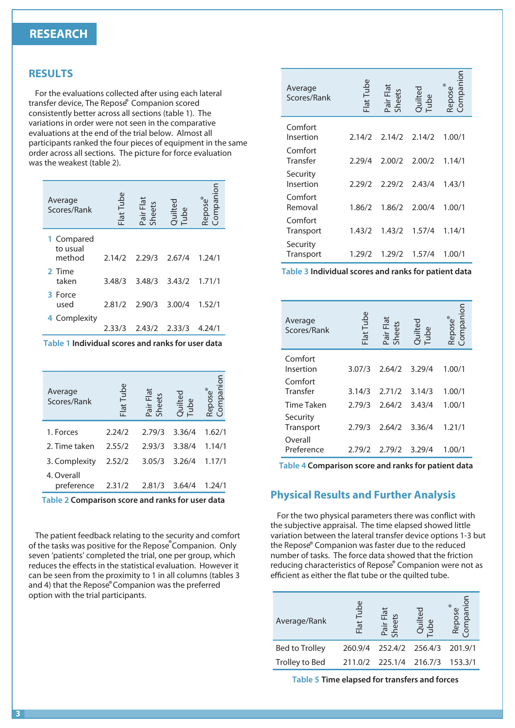#### **RESEARCH**

#### **RESULTS**

For the evaluations collected after using each lateral transfer device, The Repose® Companion scored consistently better across all sections (table 1). The variations in order were not seen in the comparative evaluations at the end of the trial below. Almost all participants ranked the four pieces of equipment in the same order across all sections. The picture for force evaluation was the weakest (table 2).

| Average<br>Scores/Rank           | Flat Tube | Pair Flat<br>Sheets | Quilted<br>Tube | Compa<br>Repose |
|----------------------------------|-----------|---------------------|-----------------|-----------------|
| 1 Compared<br>to usual<br>method | 2.14/2    | 2.29/3              | 2,67/4          | 1.24/1          |
| 2 Time<br>taken                  | 3.48/3    | 3.48/3              | 3.43/2          | 1.71/1          |
| 3 Force<br>used                  | 2.81/2    | 2.90/3              | 3.00/4          | 1.52/1          |
| Complexity<br>4.                 | 2.33/3    | 2.43/2              | 2.33/3          | 4.24/1          |

**Table 1 Individual scores and ranks for user data** 

| Average<br>Scores/Rank   | Flat Tube | Pair Flat<br>Sheets | Quilted<br>Tube | mpanior<br>Repose® |
|--------------------------|-----------|---------------------|-----------------|--------------------|
| 1. Forces                | 2.24/2    | 2.79/3              | 3.36/4          | 1.62/1             |
| 2. Time taken            | 2.55/2    | 2.93/3              | 3.38/4          | 1.14/1             |
| 3. Complexity            | 2.52/2    | 3.05/3              | 3.26/4          | 1.17/1             |
| 4. Overall<br>preference | 2.31/2    | 2.81/3              | 3.64/4          | 1.24/1             |

**Table 2 Comparison score and ranks for user data** 

The patient feedback relating to the security and comfort of the tasks was positive for the Repose<sup>®</sup> Companion. Only seven 'patients' completed the trial, one per group, which reduces the effects in the statistical evaluation. However it can be seen from the proximity to 1 in all columns (tables 3 and 4) that the Repose®Companion was the preferred option with the trial participants.

| Average<br>Scores/Rank | Flat Tube | Pair Flat<br>Sheets | Quilted<br>Tube | Compan<br>Repose |
|------------------------|-----------|---------------------|-----------------|------------------|
| Comfort<br>Insertion   | 2.14/2    | 2.14/2              | 2.14/2          | 1.00/1           |
| Comfort<br>Transfer    | 2.29/4    | 2.00/2              | 2.00/2          | 1.14/1           |
| Security<br>Insertion  | 2.29/2    | 2.29/2              | 2.43/4          | 1.43/1           |
| Comfort<br>Removal     | 1.86/2    | 1.86/2              | 2.00/4          | 1.00/1           |
| Comfort<br>Transport   | 1.43/2    | 1.43/2              | 1.57/4          | 1.14/1           |
| Security<br>Transport  | 1.29/2    | 1.29/2              | 1.57/4          | 1.00/1           |

**Table 3 Individual scores and ranks for patient data** 

| Average<br>Scores/Rank | Flat Tube | Pair Flat<br>Sheets | Quilted<br>Tube | inpanio<br>Repose |
|------------------------|-----------|---------------------|-----------------|-------------------|
| Comfort<br>Insertion   | 3.07/3    | 2.64/2              | 3.29/4          | 1.00/1            |
| Comfort<br>Transfer    | 3.14/3    | 2.71/2              | 3.14/3          | 1.00/1            |
| <b>Time Taken</b>      | 2.79/3    | 2.64/2              | 3.43/4          | 1.00/1            |
| Security<br>Transport  | 2.79/3    | 2.64/2              | 3.36/4          | 1.21/1            |
| Overall<br>Preference  | 2.79/2    | 2.79/2              | 3.29/4          | 1.00/1            |

**Table 4 Comparison score and ranks for patient data** 

#### **Physical Results and Further Analysis**

For the two physical parameters there was conflict with the subjective appraisal. The time elapsed showed little variation between the lateral transfer device options 1-3 but the Repose® Companion was faster due to the reduced number of tasks. The force data showed that the friction reducing characteristics of Repose® Companion were not as efficient as either the flat tube or the quilted tube.

| Average/Rank          | Φ<br>Tub<br>Flat | $\overline{5}$<br>$\overline{a}$ | $^{\circ}$<br>ied |
|-----------------------|------------------|----------------------------------|-------------------|
| <b>Bed to Trolley</b> | 260.9/4          | 252.4/2 256.4/3                  | 201.9/1           |
| Trolley to Bed        |                  | 211.0/2 225.1/4 216.7/3          | 153.3/1           |

**Table 5 Time elapsed for transfers and forces**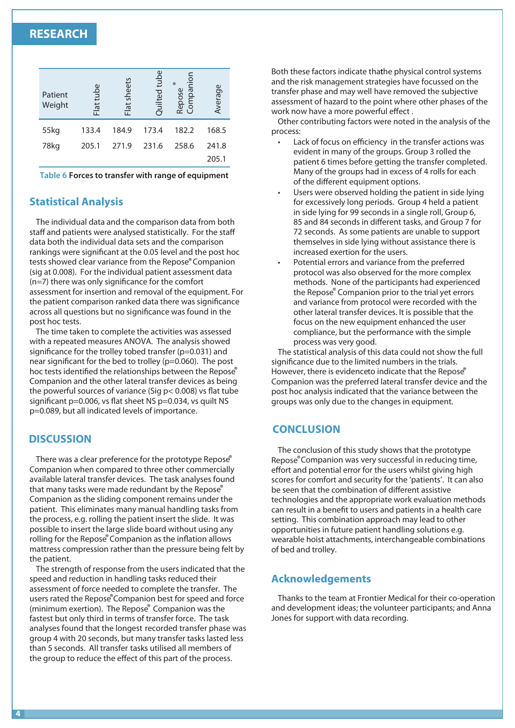### **RESEARCH**

| Patient<br>Weight | Flat tube | Flat sheets | tube<br>Quilted | ompanion<br>$^{\circ}$<br>Repose<br>$\cup$ | Average |
|-------------------|-----------|-------------|-----------------|--------------------------------------------|---------|
| 55kg              | 133.4     | 184.9       | 173.4           | 182.2                                      | 168.5   |
| 78kg              | 205.1     | 271.9       | 231.6           | 258.6                                      | 241.8   |
|                   |           |             |                 |                                            | 205.1   |

**Table 6 Forces to transfer with range of equipment**

#### **Statistical Analysis**

The individual data and the comparison data from both staff and patients were analysed statistically. For the staff data both the individual data sets and the comparison rankings were significant at the 0.05 level and the post hoc tests showed clear variance from the Repose® Companion (sig at 0.008). For the individual patient assessment data  $(n=7)$  there was only significance for the comfort assessment for insertion and removal of the equipment. For the patient comparison ranked data there was significance across all questions but no significance was found in the post hoc tests.

The time taken to complete the activities was assessed with a repeated measures ANOVA. The analysis showed significance for the trolley to bed transfer ( $p=0.031$ ) and near significant for the bed to trolley ( $p=0.060$ ). The post hoc tests identified the relationships between the Repose® Companion and the other lateral transfer devices as being the powerful sources of variance (Sig  $p < 0.008$ ) vs flat tube significant p=0.006, vs flat sheet NS p=0.034, vs quilt NS p=0.089, but all indicated levels of importance.

#### **DISCUSSION**

There was a clear preference for the prototype Repose® Companion when compared to three other commercially available lateral transfer devices. The task analyses found that many tasks were made redundant by the Repose® Companion as the sliding component remains under the patient. This eliminates many manual handling tasks from the process, e.g. rolling the patient insert the slide. It was possible to insert the large slide board without using any rolling for the Repose® Companion as the inflation allows mattress compression rather than the pressure being felt by the patient.

The strength of response from the users indicated that the speed and reduction in handling tasks reduced their assessment of force needed to complete the transfer. The users rated the Repose® Companion best for speed and force (minimum exertion). The Repose® Companion was the fastest but only third in terms of transfer force. The task analyses found that the longest recorded transfer phase was group 4 with 20 seconds, but many transfer tasks lasted less than 5 seconds. All transfer tasks utilised all members of the group to reduce the effect of this part of the process.

Both these factors indicate thathe physical control systems and the risk management strategies have focussed on the transfer phase and may well have removed the subjective assessment of hazard to the point where other phases of the work now have a more powerful effect.

Other contributing factors were noted in the analysis of the process:

- Lack of focus on efficiency in the transfer actions was evident in many of the groups. Group 3 rolled the patient 6 times before getting the transfer completed. Many of the groups had in excess of 4 rolls for each of the different equipment options.
- Users were observed holding the patient in side lying for excessively long periods. Group 4 held a patient in side lying for 99 seconds in a single roll, Group 6, 85 and 84 seconds in different tasks, and Group 7 for 72 seconds. As some patients are unable to support themselves in side lying without assistance there is increased exertion for the users.
- Potential errors and variance from the preferred protocol was also observed for the more complex methods. None of the participants had experienced the Repose® Companion prior to the trial yet errors and variance from protocol were recorded with the other lateral transfer devices. It is possible that the focus on the new equipment enhanced the user compliance, but the performance with the simple process was very good.

The statistical analysis of this data could not show the full significance due to the limited numbers in the trials. However, there is evidenceto indicate that the Repose® Companion was the preferred lateral transfer device and the post hoc analysis indicated that the variance between the groups was only due to the changes in equipment.

#### **CONCLUSION**

The conclusion of this study shows that the prototype Repose®Companion was very successful in reducing time, effort and potential error for the users whilst giving high scores for comfort and security for the 'patients'. It can also be seen that the combination of different assistive technologies and the appropriate work evaluation methods can result in a benefit to users and patients in a health care setting. This combination approach may lead to other opportunities in future patient handling solutions e.g. wearable hoist attachments, interchangeable combinations of bed and trolley.

#### **Acknowledgements**

Thanks to the team at Frontier Medical for their co-operation and development ideas; the volunteer participants; and Anna Jones for support with data recording.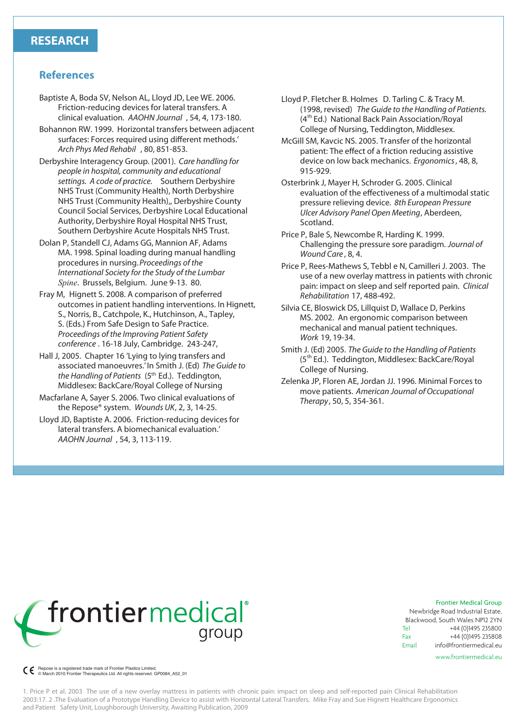#### **References**

- Baptiste A, Boda SV, Nelson AL, Lloyd JD, Lee WE. 2006. Friction-reducing devices for lateral transfers. A clinical evaluation. *AAOHN Journal* , 54, 4, 173-180.
- Bohannon RW. 1999. Horizontal transfers between adjacent surfaces: Forces required using different methods.' *Arch Phys Med Rehabil* , 80, 851-853.
- Derbyshire Interagency Group. (2001). *Care handling for people in hospital, community and educational settings. A code of practice.* Southern Derbyshire NHS Trust (Community Health), North Derbyshire NHS Trust (Community Health),, Derbyshire County Council Social Services, Derbyshire Local Educational Authority, Derbyshire Royal Hospital NHS Trust, Southern Derbyshire Acute Hospitals NHS Trust.
- Dolan P, Standell CJ, Adams GG, Mannion AF, Adams MA. 1998. Spinal loading during manual handling procedures in nursing. *Proceedings of the International Society for the Study of the Lumbar Spine*. Brussels, Belgium. June 9-13. 80.
- Fray M, Hignett S. 2008. A comparison of preferred outcomes in patient handling interventions. In Hignett, S., Norris, B., Catchpole, K., Hutchinson, A., Tapley, S. (Eds.) From Safe Design to Safe Practice. *Proceedings of the Improving Patient Safety conference* . 16-18 July, Cambridge. 243-247,
- Hall J, 2005. Chapter 16 'Lying to lying transfers and associated manoeuvres.' In Smith J. (Ed) *The Guide to the Handling of Patients* (5th Ed.). Teddington, Middlesex: BackCare/Royal College of Nursing
- Macfarlane A, Sayer S. 2006. Two clinical evaluations of the Repose® system. *Wounds UK*, 2, 3, 14-25.
- Lloyd JD, Baptiste A. 2006. Friction-reducing devices for lateral transfers. A biomechanical evaluation.' *AAOHN Journal* , 54, 3, 113-119.
- Lloyd P. Fletcher B. Holmes D. Tarling C. & Tracy M. (1998, revised) *The Guide to the Handling of Patients.*  (4<sup>th</sup> Ed.) National Back Pain Association/Royal College of Nursing, Teddington, Middlesex.
- McGill SM, Kavcic NS. 2005. Transfer of the horizontal patient: The effect of a friction reducing assistive device on low back mechanics. *Ergonomics*, 48, 8, 915-929.
- Osterbrink J, Mayer H, Schroder G. 2005. Clinical evaluation of the effectiveness of a multimodal static pressure relieving device. *8th European Pressure Ulcer Advisory Panel Open Meeting*, Aberdeen, Scotland.
- Price P, Bale S, Newcombe R, Harding K. 1999. Challenging the pressure sore paradigm. *Journal of Wound Care* , 8, 4.
- Price P, Rees-Mathews S, Tebbl e N, Camilleri J. 2003. The use of a new overlay mattress in patients with chronic pain: impact on sleep and self reported pain. *Clinical Rehabilitation* 17, 488-492.
- Silvia CE, Bloswick DS, Lillquist D, Wallace D, Perkins MS. 2002. An ergonomic comparison between mechanical and manual patient techniques. *Work* 19, 19-34.
- Smith J. (Ed) 2005. *The Guide to the Handling of Patients* (5<sup>th</sup> Ed.). Teddington, Middlesex: BackCare/Royal College of Nursing.
- Zelenka JP, Floren AE, Jordan JJ. 1996. Minimal Forces to move patients. *American Journal of Occupational Therapy*, 50, 5, 354-361.



Frontier Medical Group

Newbridge Road Industrial Estate, Blackwood, South Wales NP12 2YN Tel Fax Email +44 (0)1495 235800 +44 (0)1495 235808 info@frontiermedical.eu

www.frontiermedical.eu

Repose is a registered trade mark of Frontier Plastics Limited. © March 2010 Frontier Therapeutics Ltd. All rights reserved. GP0084\_A52\_01

1. Price P et al. 2003 The use of a new overlay mattress in patients with chronic pain: impact on sleep and self-reported pain Clinical Rehabilitation 2003:17. 2 .The Evaluation of a Prototype Handling Device to assist with Horizontal Lateral Transfers. Mike Fray and Sue Hignett Healthcare Ergonomics and Patient Safety Unit, Loughborough University, Awaiting Publication, 2009